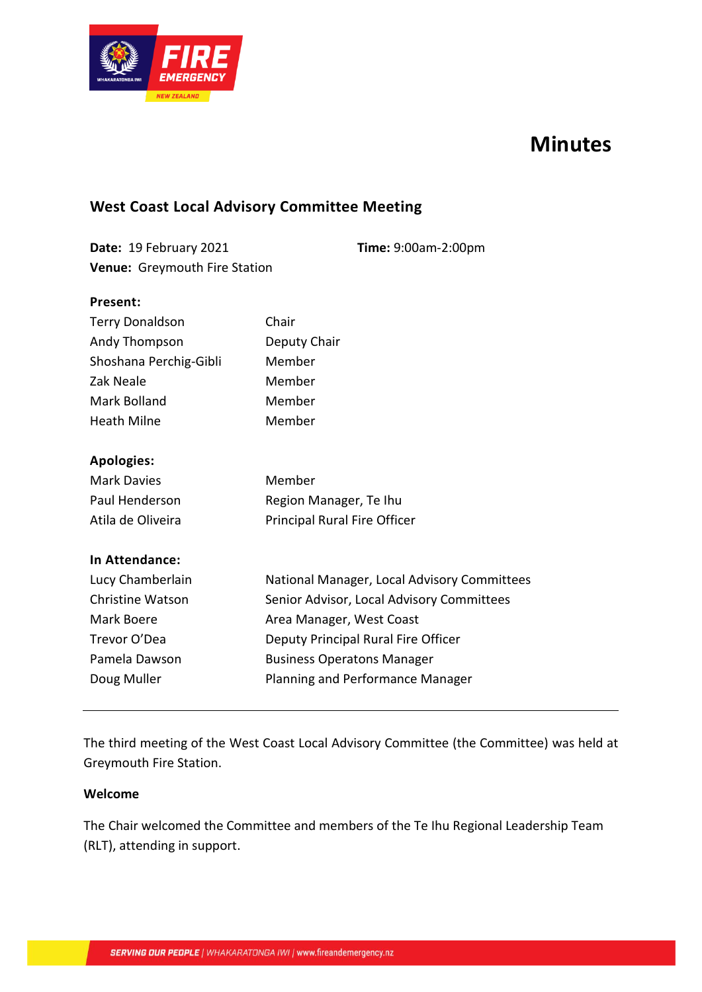

# **Minutes**

## **West Coast Local Advisory Committee Meeting**

| Date: 19 February 2021               | Time: 9:00am-2:00pm |
|--------------------------------------|---------------------|
| <b>Venue:</b> Greymouth Fire Station |                     |

#### **Present:**

| <b>Terry Donaldson</b> | Chair                        |  |  |  |
|------------------------|------------------------------|--|--|--|
| Andy Thompson          | Deputy Chair                 |  |  |  |
| Shoshana Perchig-Gibli | Member                       |  |  |  |
| Zak Neale              | Member                       |  |  |  |
| Mark Bolland           | Member                       |  |  |  |
| <b>Heath Milne</b>     | Member                       |  |  |  |
| <b>Apologies:</b>      |                              |  |  |  |
| Mark Davies            | Member                       |  |  |  |
| Paul Henderson         | Region Manager, Te Ihu       |  |  |  |
| Atila de Oliveira      | Principal Rural Fire Officer |  |  |  |
| In Attendance:         |                              |  |  |  |
|                        |                              |  |  |  |

| National Manager, Local Advisory Committees |
|---------------------------------------------|
| Senior Advisor, Local Advisory Committees   |
| Area Manager, West Coast                    |
| Deputy Principal Rural Fire Officer         |
| <b>Business Operatons Manager</b>           |
| Planning and Performance Manager            |
|                                             |

The third meeting of the West Coast Local Advisory Committee (the Committee) was held at Greymouth Fire Station.

#### **Welcome**

The Chair welcomed the Committee and members of the Te Ihu Regional Leadership Team (RLT), attending in support.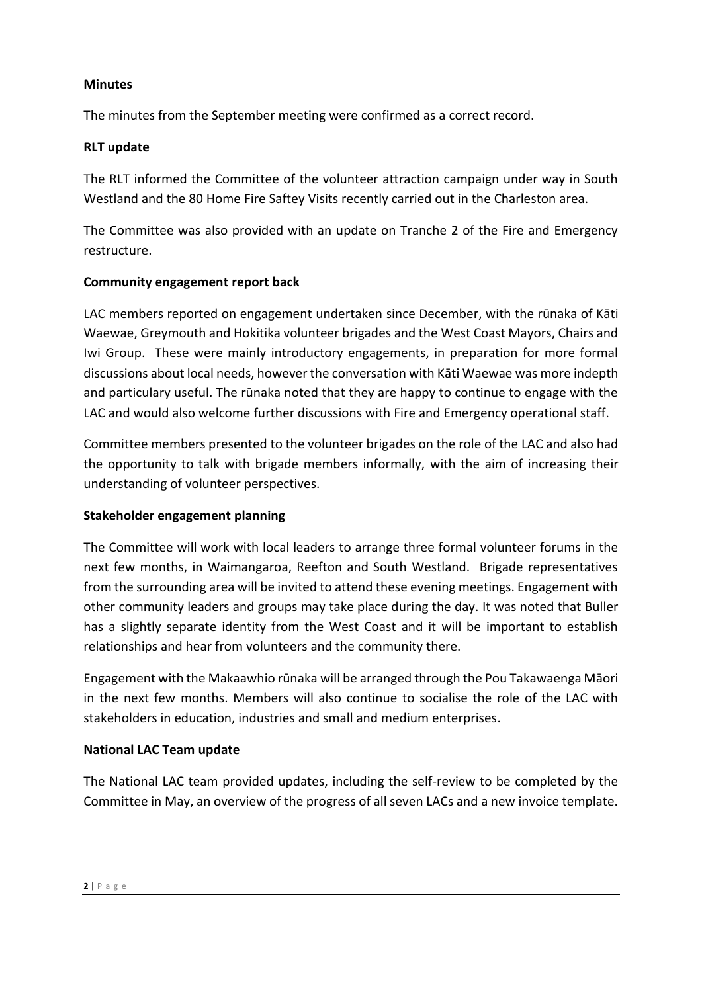### **Minutes**

The minutes from the September meeting were confirmed as a correct record.

### **RLT update**

The RLT informed the Committee of the volunteer attraction campaign under way in South Westland and the 80 Home Fire Saftey Visits recently carried out in the Charleston area.

The Committee was also provided with an update on Tranche 2 of the Fire and Emergency restructure.

### **Community engagement report back**

LAC members reported on engagement undertaken since December, with the rūnaka of Kāti Waewae, Greymouth and Hokitika volunteer brigades and the West Coast Mayors, Chairs and Iwi Group. These were mainly introductory engagements, in preparation for more formal discussions about local needs, however the conversation with Kāti Waewae was more indepth and particulary useful. The rūnaka noted that they are happy to continue to engage with the LAC and would also welcome further discussions with Fire and Emergency operational staff.

Committee members presented to the volunteer brigades on the role of the LAC and also had the opportunity to talk with brigade members informally, with the aim of increasing their understanding of volunteer perspectives.

### **Stakeholder engagement planning**

The Committee will work with local leaders to arrange three formal volunteer forums in the next few months, in Waimangaroa, Reefton and South Westland. Brigade representatives from the surrounding area will be invited to attend these evening meetings. Engagement with other community leaders and groups may take place during the day. It was noted that Buller has a slightly separate identity from the West Coast and it will be important to establish relationships and hear from volunteers and the community there.

Engagement with the Makaawhio rūnaka will be arranged through the Pou Takawaenga Māori in the next few months. Members will also continue to socialise the role of the LAC with stakeholders in education, industries and small and medium enterprises.

## **National LAC Team update**

The National LAC team provided updates, including the self-review to be completed by the Committee in May, an overview of the progress of all seven LACs and a new invoice template.